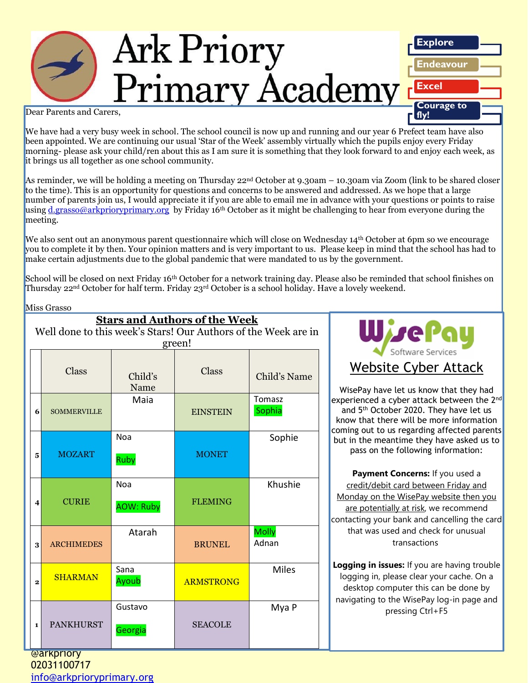

We have had a very busy week in school. The school council is now up and running and our year 6 Prefect team have also been appointed. We are continuing our usual 'Star of the Week' assembly virtually which the pupils enjoy every Friday morning- please ask your child/ren about this as I am sure it is something that they look forward to and enjoy each week, as it brings us all together as one school community.

As reminder, we will be holding a meeting on Thursday 22nd October at 9.30am – 10.30am via Zoom (link to be shared closer to the time). This is an opportunity for questions and concerns to be answered and addressed. As we hope that a large number of parents join us, I would appreciate it if you are able to email me in advance with your questions or points to raise using [d.grasso@arkprioryprimary.org](mailto:d.grasso@arkprioryprimary.org) by Friday 16<sup>th</sup> October as it might be challenging to hear from everyone during the meeting.

We also sent out an anonymous parent questionnaire which will close on Wednesday 14<sup>th</sup> October at 6pm so we encourage you to complete it by then. Your opinion matters and is very important to us. Please keep in mind that the school has had to make certain adjustments due to the global pandemic that were mandated to us by the government.

School will be closed on next Friday 16<sup>th</sup> October for a network training day. Please also be reminded that school finishes on Thursday 22<sup>nd</sup> October for half term. Friday 23<sup>rd</sup> October is a school holiday. Have a lovely weekend.

#### Miss Grasso

| <b>Stars and Authors of the Week</b><br>Well done to this week's Stars! Our Authors of the Week are in<br>green! |                |                    |                                |                  |                       | Wiser                                                                                                                                                                                                                                                                                                                                                                                                                                                                                                                                                                        |
|------------------------------------------------------------------------------------------------------------------|----------------|--------------------|--------------------------------|------------------|-----------------------|------------------------------------------------------------------------------------------------------------------------------------------------------------------------------------------------------------------------------------------------------------------------------------------------------------------------------------------------------------------------------------------------------------------------------------------------------------------------------------------------------------------------------------------------------------------------------|
|                                                                                                                  |                | <b>Class</b>       | Child's<br>Name                | Class            | Child's Name          | Software Se<br><b>Website Cybe</b><br>WisePay have let us knov<br>experienced a cyber attacl<br>and 5 <sup>th</sup> October 2020. Tl<br>know that there will be m<br>coming out to us regarding<br>but in the meantime they<br>pass on the following<br>Payment Concerns: I<br>credit/debit card betwe<br>Monday on the WisePay v<br>are potentially at risk, w<br>contacting your bank and c<br>that was used and cheo<br>transaction<br>Logging in issues: If you a<br>logging in, please clear y<br>desktop computer this o<br>navigating to the WisePay<br>pressing Ctrl |
|                                                                                                                  | 6              | <b>SOMMERVILLE</b> | Maia                           | <b>EINSTEIN</b>  | Tomasz<br>Sophia      |                                                                                                                                                                                                                                                                                                                                                                                                                                                                                                                                                                              |
|                                                                                                                  | 5              | <b>MOZART</b>      | Noa<br>Ruby                    | <b>MONET</b>     | Sophie                |                                                                                                                                                                                                                                                                                                                                                                                                                                                                                                                                                                              |
|                                                                                                                  | 4              | <b>CURIE</b>       | <b>Noa</b><br><b>AOW: Ruby</b> | <b>FLEMING</b>   | Khushie               |                                                                                                                                                                                                                                                                                                                                                                                                                                                                                                                                                                              |
|                                                                                                                  | 3              | <b>ARCHIMEDES</b>  | Atarah                         | <b>BRUNEL</b>    | <b>Molly</b><br>Adnan |                                                                                                                                                                                                                                                                                                                                                                                                                                                                                                                                                                              |
|                                                                                                                  | $\overline{2}$ | <b>SHARMAN</b>     | Sana<br>Ayoub                  | <b>ARMSTRONG</b> | <b>Miles</b>          |                                                                                                                                                                                                                                                                                                                                                                                                                                                                                                                                                                              |
|                                                                                                                  | 1              | <b>PANKHURST</b>   | Gustavo<br>Georgia             | <b>SEACOLE</b>   | Mya P                 |                                                                                                                                                                                                                                                                                                                                                                                                                                                                                                                                                                              |



WisePay have let us know that they had experienced a cyber attack between the 2<sup>nd</sup> and 5 th October 2020. They have let us know that there will be more information coming out to us regarding affected parents but in the meantime they have asked us to pass on the following information:

**Payment Concerns:** If you used a credit/debit card between Friday and Monday on the WisePay website then you are potentially at risk, we recommend contacting your bank and cancelling the card that was used and check for unusual transactions

**Logging in issues:** If you are having trouble logging in, please clear your cache. On a desktop computer this can be done by navigating to the WisePay log-in page and pressing Ctrl+F5

@arkpriory 02031100717 [info@arkprioryprimary.org](mailto:info@arkprioryprimary.org)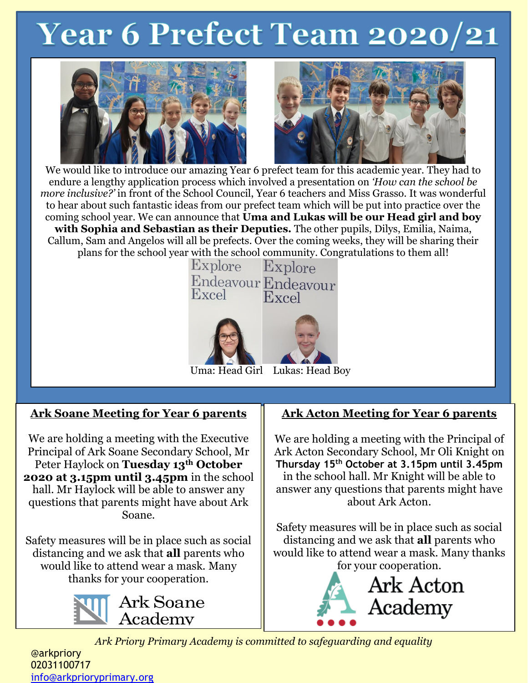# **Year 6 Prefect Team 2020/21**





We would like to introduce our amazing Year 6 prefect team for this academic year. They had to endure a lengthy application process which involved a presentation on *'How can the school be more inclusive?'* in front of the School Council, Year 6 teachers and Miss Grasso. It was wonderful to hear about such fantastic ideas from our prefect team which will be put into practice over the coming school year. We can announce that **Uma and Lukas will be our Head girl and boy with Sophia and Sebastian as their Deputies.** The other pupils, Dilys, Emilia, Naima, Callum, Sam and Angelos will all be prefects. Over the coming weeks, they will be sharing their plans for the school year with the school community. Congratulations to them all!



**Ark Soane Meeting for Year 6 parents**

We are holding a meeting with the Executive Principal of Ark Soane Secondary School, Mr Peter Haylock on **Tuesday 13th October 2020 at 3.15pm until 3.45pm** in the school hall. Mr Haylock will be able to answer any questions that parents might have about Ark Soane.

Safety measures will be in place such as social distancing and we ask that **all** parents who would like to attend wear a mask. Many thanks for your cooperation.



# **Ark Acton Meeting for Year 6 parents**

We are holding a meeting with the Principal of Ark Acton Secondary School, Mr Oli Knight on **Thursday 15th October at 3.15pm until 3.45pm** in the school hall. Mr Knight will be able to answer any questions that parents might have about Ark Acton.

Safety measures will be in place such as social distancing and we ask that **all** parents who would like to attend wear a mask. Many thanks for your cooperation.



*Ark Priory Primary Academy is committed to safeguarding and equality* 

@arkpriory 02031100717 [info@arkprioryprimary.org](mailto:info@arkprioryprimary.org)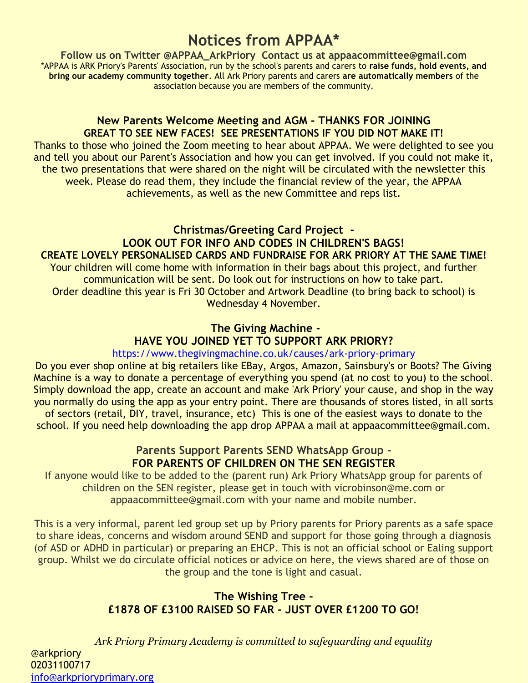# **Notices from APPAA\***

**Follow us on Twitter @APPAA\_ArkPriory Contact us at appaacommittee@gmail.com** \*APPAA is ARK Priory's Parents' Association, run by the school's parents and carers to **raise funds, hold events, and bring our academy community together**. All Ark Priory parents and carers **are automatically members** of the association because you are members of the community.

## **New Parents Welcome Meeting and AGM - THANKS FOR JOINING GREAT TO SEE NEW FACES! SEE PRESENTATIONS IF YOU DID NOT MAKE IT!**

Thanks to those who joined the Zoom meeting to hear about APPAA. We were delighted to see you and tell you about our Parent's Association and how you can get involved. If you could not make it, the two presentations that were shared on the night will be circulated with the newsletter this week. Please do read them, they include the financial review of the year, the APPAA achievements, as well as the new Committee and reps list.

**Christmas/Greeting Card Project - LOOK OUT FOR INFO AND CODES IN CHILDREN'S BAGS! CREATE LOVELY PERSONALISED CARDS AND FUNDRAISE FOR ARK PRIORY AT THE SAME TIME!** Your children will come home with information in their bags about this project, and further communication will be sent. Do look out for instructions on how to take part. Order deadline this year is Fri 30 October and Artwork Deadline (to bring back to school) is Wednesday 4 November.

# **The Giving Machine - HAVE YOU JOINED YET TO SUPPORT ARK PRIORY?**

<https://www.thegivingmachine.co.uk/causes/ark-priory-primary> Do you ever shop online at big retailers like EBay, Argos, Amazon, Sainsbury's or Boots? The Giving Machine is a way to donate a percentage of everything you spend (at no cost to you) to the school. Simply download the app, create an account and make 'Ark Priory' your cause, and shop in the way you normally do using the app as your entry point. There are thousands of stores listed, in all sorts of sectors (retail, DIY, travel, insurance, etc) This is one of the easiest ways to donate to the school. If you need help downloading the app drop APPAA a mail at appaacommittee@gmail.com.

## **Parents Support Parents SEND WhatsApp Group - FOR PARENTS OF CHILDREN ON THE SEN REGISTER**

If anyone would like to be added to the (parent run) Ark Priory WhatsApp group for parents of children on the SEN register, please get in touch with vicrobinson@me.com or appaacommittee@gmail.com with your name and mobile number.

This is a very informal, parent led group set up by Priory parents for Priory parents as a safe space to share ideas, concerns and wisdom around SEND and support for those going through a diagnosis (of ASD or ADHD in particular) or preparing an EHCP. This is not an official school or Ealing support group. Whilst we do circulate official notices or advice on here, the views shared are of those on the group and the tone is light and casual.

# **The Wishing Tree - £1878 OF £3100 RAISED SO FAR - JUST OVER £1200 TO GO!**

*Ark Priory Primary Academy is committed to safeguarding and equality*  @arkpriory 02031100717 [info@arkprioryprimary.org](mailto:info@arkprioryprimary.org)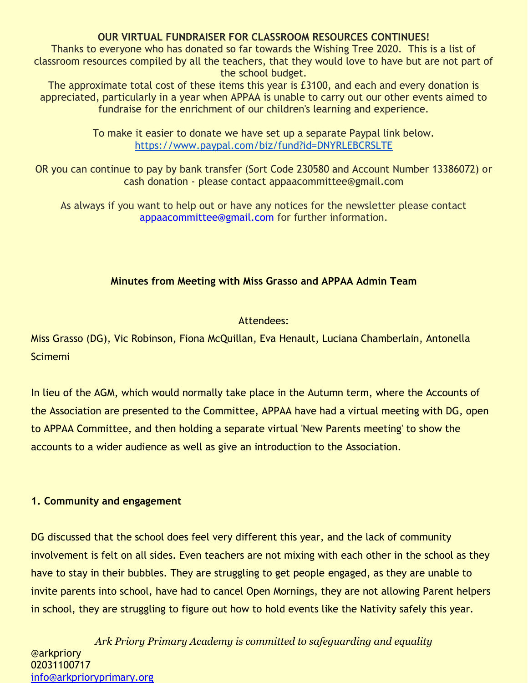#### **OUR VIRTUAL FUNDRAISER FOR CLASSROOM RESOURCES CONTINUES!**

Thanks to everyone who has donated so far towards the Wishing Tree 2020. This is a list of classroom resources compiled by all the teachers, that they would love to have but are not part of the school budget.

The approximate total cost of these items this year is £3100, and each and every donation is appreciated, particularly in a year when APPAA is unable to carry out our other events aimed to fundraise for the enrichment of our children's learning and experience.

> To make it easier to donate we have set up a separate Paypal link below. <https://www.paypal.com/biz/fund?id=DNYRLEBCRSLTE>

OR you can continue to pay by bank transfer (Sort Code 230580 and Account Number 13386072) or cash donation - please contact appaacommittee@gmail.com

As always if you want to help out or have any notices for the newsletter please contact appaacommittee@gmail.com for further information.

#### **Minutes from Meeting with Miss Grasso and APPAA Admin Team**

#### Attendees:

Miss Grasso (DG), Vic Robinson, Fiona McQuillan, Eva Henault, Luciana Chamberlain, Antonella **Scimemi** 

In lieu of the AGM, which would normally take place in the Autumn term, where the Accounts of the Association are presented to the Committee, APPAA have had a virtual meeting with DG, open to APPAA Committee, and then holding a separate virtual 'New Parents meeting' to show the accounts to a wider audience as well as give an introduction to the Association.

#### **1. Community and engagement**

DG discussed that the school does feel very different this year, and the lack of community involvement is felt on all sides. Even teachers are not mixing with each other in the school as they have to stay in their bubbles. They are struggling to get people engaged, as they are unable to invite parents into school, have had to cancel Open Mornings, they are not allowing Parent helpers in school, they are struggling to figure out how to hold events like the Nativity safely this year.

*Ark Priory Primary Academy is committed to safeguarding and equality*  @arkpriory 02031100717 [info@arkprioryprimary.org](mailto:info@arkprioryprimary.org)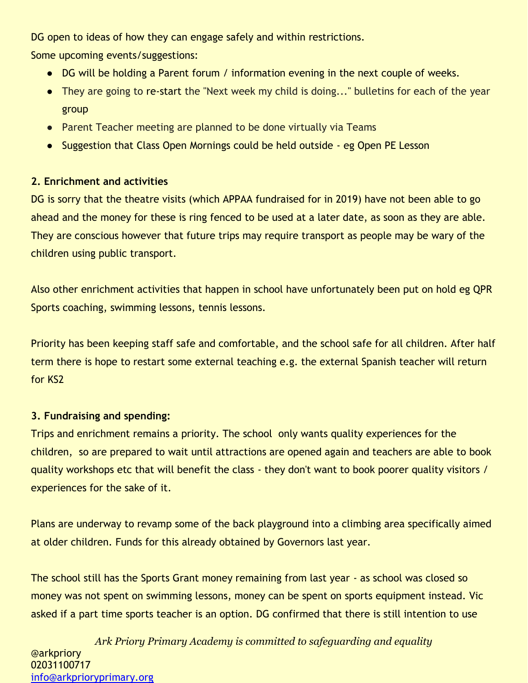DG open to ideas of how they can engage safely and within restrictions.

Some upcoming events/suggestions:

- DG will be holding a Parent forum / information evening in the next couple of weeks.
- They are going to re-start the "Next week my child is doing..." bulletins for each of the year group
- Parent Teacher meeting are planned to be done virtually via Teams
- Suggestion that Class Open Mornings could be held outside eg Open PE Lesson

# **2. Enrichment and activities**

DG is sorry that the theatre visits (which APPAA fundraised for in 2019) have not been able to go ahead and the money for these is ring fenced to be used at a later date, as soon as they are able. They are conscious however that future trips may require transport as people may be wary of the children using public transport.

Also other enrichment activities that happen in school have unfortunately been put on hold eg QPR Sports coaching, swimming lessons, tennis lessons.

Priority has been keeping staff safe and comfortable, and the school safe for all children. After half term there is hope to restart some external teaching e.g. the external Spanish teacher will return for KS2

# **3. Fundraising and spending:**

Trips and enrichment remains a priority. The school only wants quality experiences for the children, so are prepared to wait until attractions are opened again and teachers are able to book quality workshops etc that will benefit the class - they don't want to book poorer quality visitors / experiences for the sake of it.

Plans are underway to revamp some of the back playground into a climbing area specifically aimed at older children. Funds for this already obtained by Governors last year.

The school still has the Sports Grant money remaining from last year - as school was closed so money was not spent on swimming lessons, money can be spent on sports equipment instead. Vic asked if a part time sports teacher is an option. DG confirmed that there is still intention to use

*Ark Priory Primary Academy is committed to safeguarding and equality*  @arkpriory 02031100717 [info@arkprioryprimary.org](mailto:info@arkprioryprimary.org)